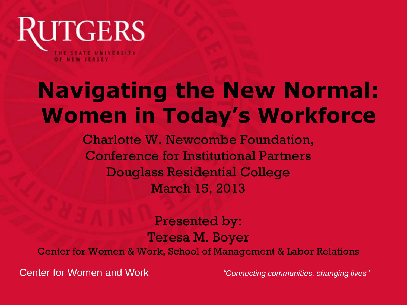

# **Navigating the New Normal: Women in Today's Workforce**

Charlotte W. Newcombe Foundation, Conference for Institutional Partners Douglass Residential College March 15, 2013

Presented by: Teresa M. Boyer Center for Women & Work, School of Management & Labor Relations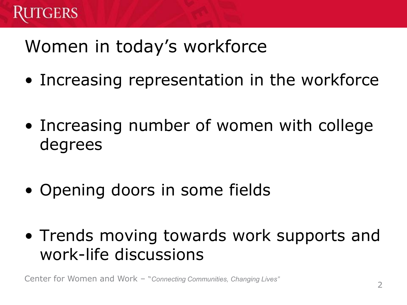

## Women in today's workforce

- Increasing representation in the workforce
- Increasing number of women with college degrees
- Opening doors in some fields
- Trends moving towards work supports and work-life discussions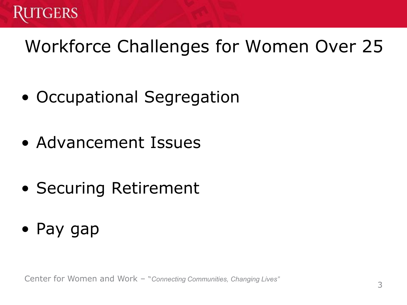

# Workforce Challenges for Women Over 25

- Occupational Segregation
- Advancement Issues
- Securing Retirement
- Pay gap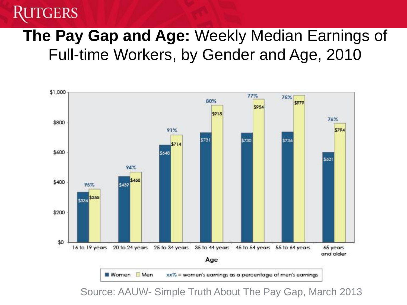#### TGERS

#### **The Pay Gap and Age:** Weekly Median Earnings of Full-time Workers, by Gender and Age, 2010



Source: AAUW- Simple Truth About The Pay Gap, March 2013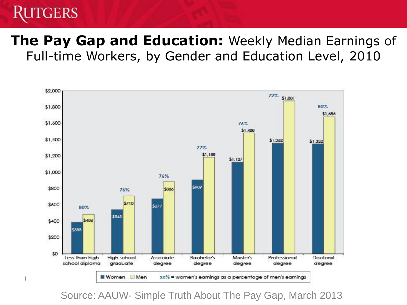#### GERS

#### **The Pay Gap and Education:** Weekly Median Earnings of Full-time Workers, by Gender and Education Level, 2010



Source: AAUW- Simple Truth About The Pay Gap, March 2013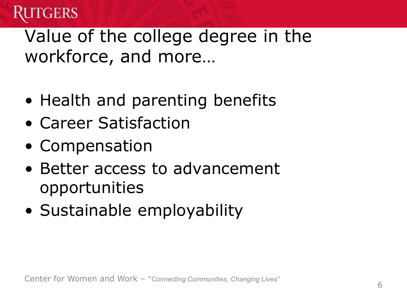

### Value of the college degree in the workforce, and more…

- Health and parenting benefits
- Career Satisfaction
- Compensation
- Better access to advancement opportunities
- Sustainable employability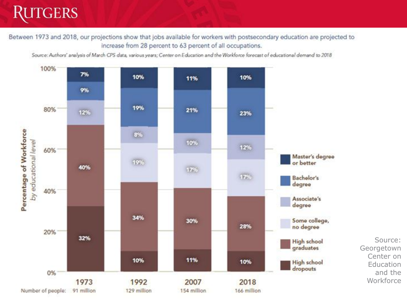#### **RUTGERS**

Between 1973 and 2018, our projections show that jobs available for workers with postsecondary education are projected to increase from 28 percent to 63 percent of all occupations.

Source: Authors' analysis of March CPS data, various years; Center on Education and the Workforce forecast of educational demand to 2018



Source: Georgetown Center on Education and the Workforce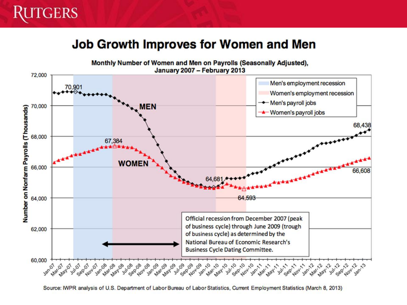#### **Job Growth Improves for Women and Men**



Source: IWPR analysis of U.S. Department of Labor Bureau of Labor Statistics, Current Employment Statistics (March 8, 2013)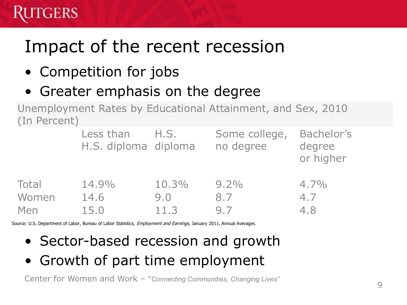# Impact of the recent recession

• Competition for jobs

GERS

• Greater emphasis on the degree

Unemployment Rates by Educational Attainment, and Sex, 2010 (In Percent)

|       | Less than<br>H.S. diploma diploma | H.S.  | Some college,<br>no degree | Bachelor's<br>degree<br>or higher |
|-------|-----------------------------------|-------|----------------------------|-----------------------------------|
| Total | 14.9%                             | 10.3% | $9.2\%$                    | $4.7\%$                           |
| Women | 14.6                              | 9.0   | 8.7                        | 4.7                               |
| Men   | 15.0                              | 11.3  | 97                         | 4.8                               |

Source: U.S. Department of Labor, Bureau of Labor Statistics, *Employment and Earnings*, January 2011, Annual Averages.

- Sector-based recession and growth
- Growth of part time employment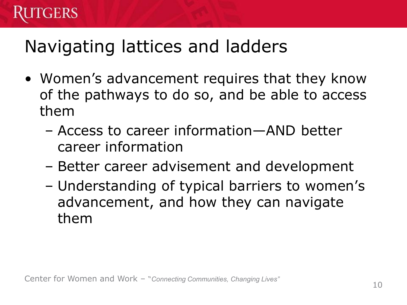## Navigating lattices and ladders

- Women's advancement requires that they know of the pathways to do so, and be able to access them
	- Access to career information—AND better career information
	- Better career advisement and development
	- Understanding of typical barriers to women's advancement, and how they can navigate them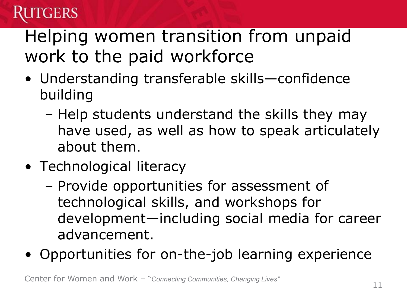## GERS

# Helping women transition from unpaid work to the paid workforce

- Understanding transferable skills—confidence building
	- Help students understand the skills they may have used, as well as how to speak articulately about them.
- Technological literacy
	- Provide opportunities for assessment of technological skills, and workshops for development—including social media for career advancement.
- Opportunities for on-the-job learning experience